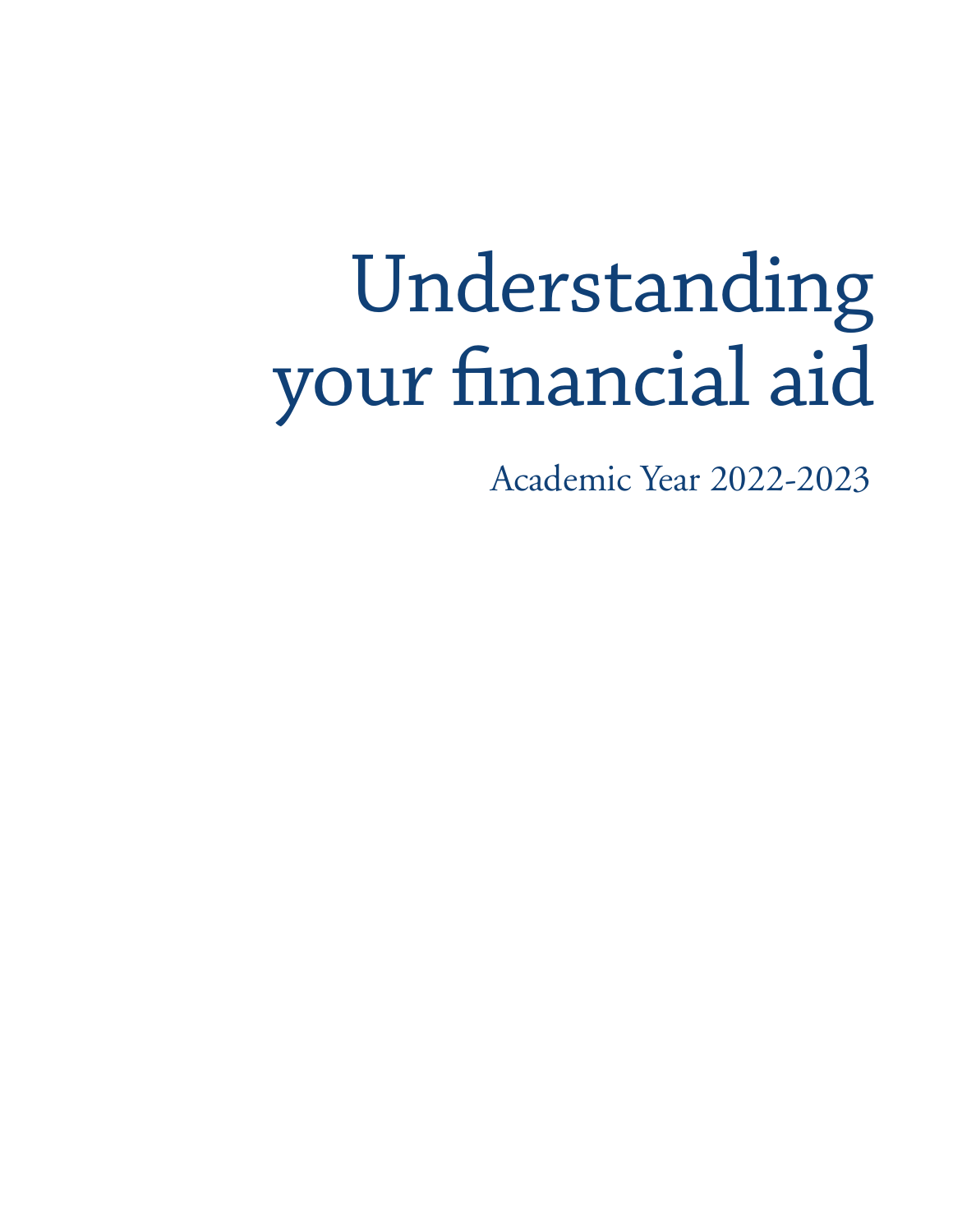# Understanding your financial aid

Academic Year 2022-2023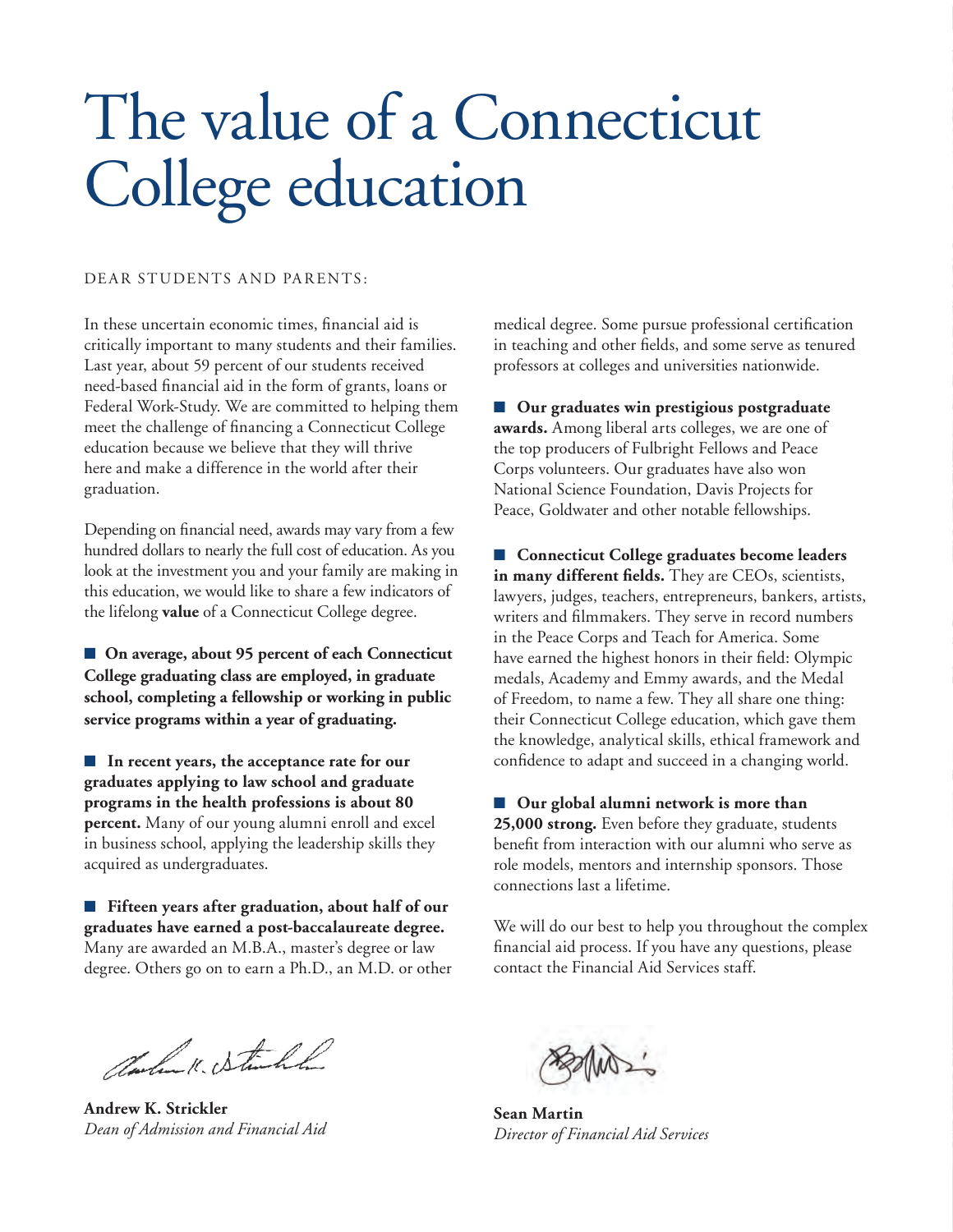# The value of a Connecticut College education

#### DEAR STUDENTS AND PARENTS:

In these uncertain economic times, financial aid is critically important to many students and their families. Last year, about 59 percent of our students received need-based financial aid in the form of grants, loans or Federal Work-Study. We are committed to helping them meet the challenge of financing a Connecticut College education because we believe that they will thrive here and make a difference in the world after their graduation.

Depending on financial need, awards may vary from a few hundred dollars to nearly the full cost of education. As you look at the investment you and your family are making in this education, we would like to share a few indicators of the lifelong **value** of a Connecticut College degree.

■ On average, about 95 percent of each Connecticut **College graduating class are employed, in graduate school, completing a fellowship or working in public service programs within a year of graduating.**

■ In recent years, the acceptance rate for our **graduates applying to law school and graduate programs in the health professions is about 80 percent.** Many of our young alumni enroll and excel in business school, applying the leadership skills they acquired as undergraduates.

■ Fifteen years after graduation, about half of our **graduates have earned a post-baccalaureate degree.**  Many are awarded an M.B.A., master's degree or law degree. Others go on to earn a Ph.D., an M.D. or other

medical degree. Some pursue professional certification in teaching and other fields, and some serve as tenured professors at colleges and universities nationwide.

■ Our graduates win prestigious postgraduate **awards.** Among liberal arts colleges, we are one of the top producers of Fulbright Fellows and Peace Corps volunteers. Our graduates have also won National Science Foundation, Davis Projects for Peace, Goldwater and other notable fellowships.

■ **Connecticut College graduates become leaders** in many different fields. They are CEOs, scientists, lawyers, judges, teachers, entrepreneurs, bankers, artists, writers and filmmakers. They serve in record numbers in the Peace Corps and Teach for America. Some have earned the highest honors in their field: Olympic medals, Academy and Emmy awards, and the Medal of Freedom, to name a few. They all share one thing: their Connecticut College education, which gave them the knowledge, analytical skills, ethical framework and confidence to adapt and succeed in a changing world.

■ Our global alumni network is more than **25,000 strong.** Even before they graduate, students benefit from interaction with our alumni who serve as role models, mentors and internship sponsors. Those connections last a lifetime.

We will do our best to help you throughout the complex financial aid process. If you have any questions, please contact the Financial Aid Services staff.

anden K. Stinhle

**Andrew K. Strickler** *Dean of Admission and Financial Aid*

**Sean Martin** *Director of Financial Aid Services*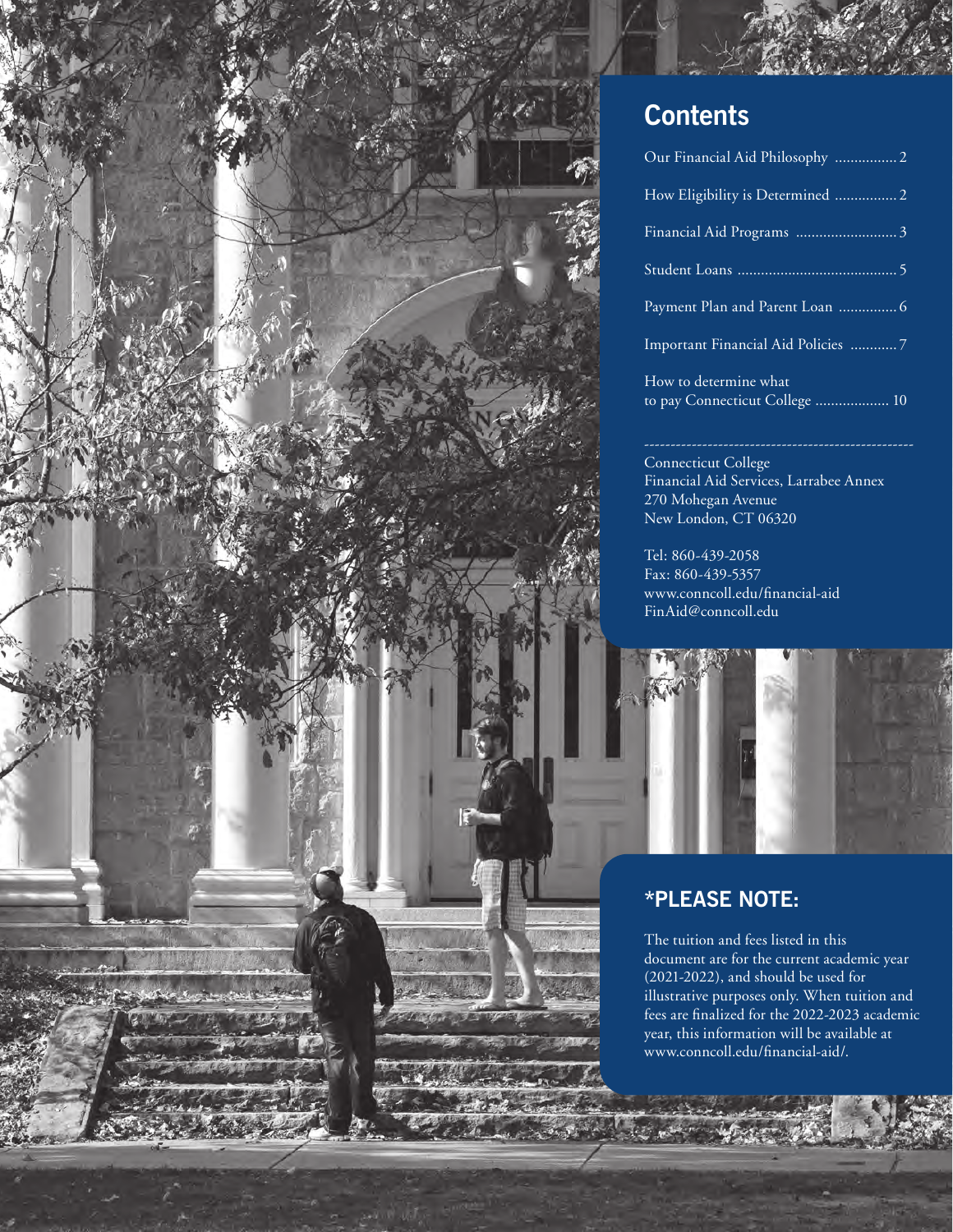

# **Contents**

| Our Financial Aid Philosophy  2                         |
|---------------------------------------------------------|
| How Eligibility is Determined  2                        |
|                                                         |
|                                                         |
| Payment Plan and Parent Loan  6                         |
| Important Financial Aid Policies 7                      |
| How to determine what<br>to pay Connecticut College  10 |

Connecticut College Financial Aid Services, Larrabee Annex 270 Mohegan Avenue New London, CT 06320

Tel: 860-439-2058 Fax: 860-439-5357 www.conncoll.edu/financial-aid FinAid@conncoll.edu



# **\*PLEASE NOTE:**

The tuition and fees listed in this document are for the current academic year (2021-2022), and should be used for illustrative purposes only. When tuition and fees are finalized for the 2022-2023 academic year, this information will be available at www.conncoll.edu/financial-aid/.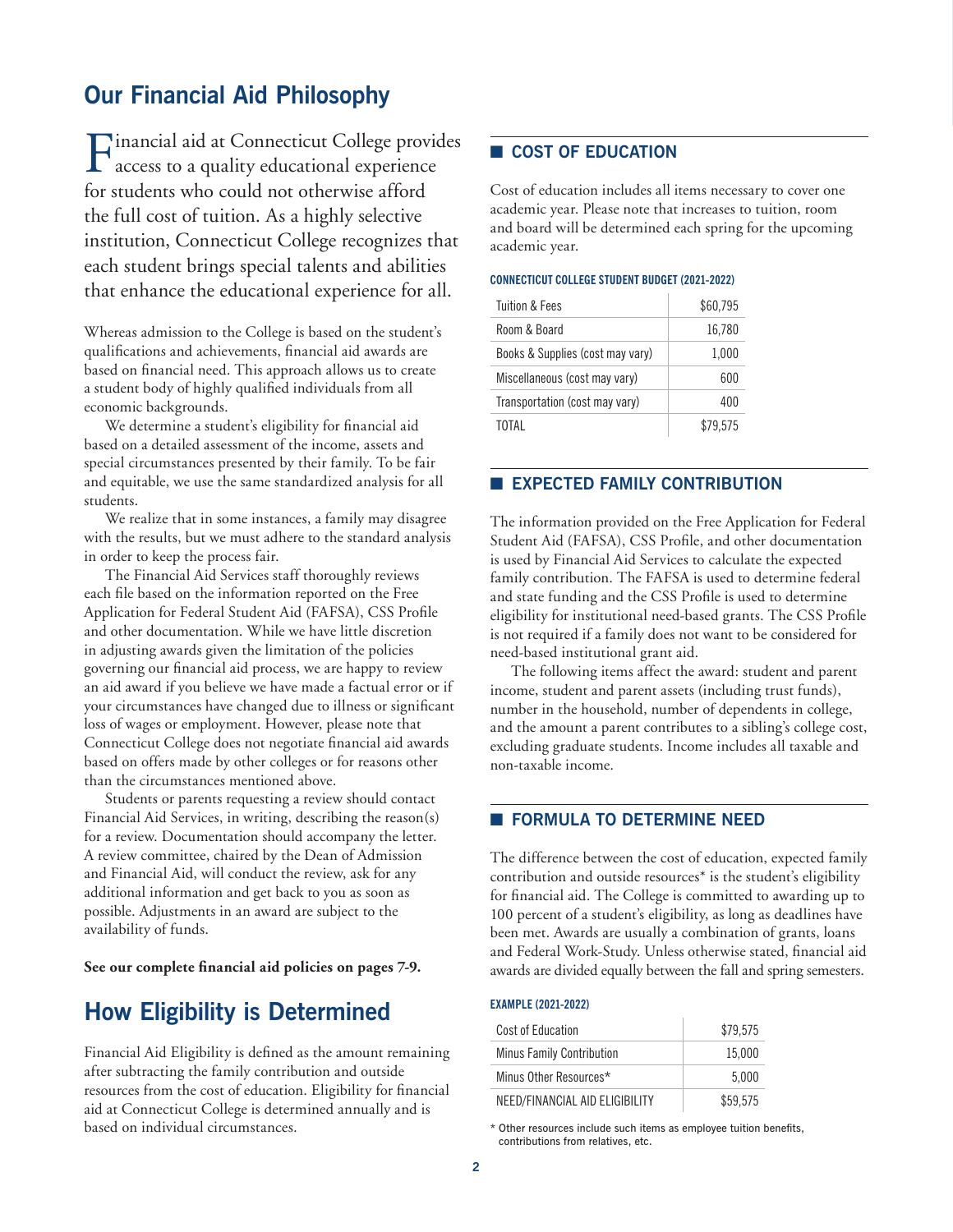### **Our Financial Aid Philosophy**

Financial aid at Connecticut College provides access to a quality educational experience for students who could not otherwise afford the full cost of tuition. As a highly selective institution, Connecticut College recognizes that each student brings special talents and abilities that enhance the educational experience for all.

Whereas admission to the College is based on the student's qualifications and achievements, financial aid awards are based on financial need. This approach allows us to create a student body of highly qualified individuals from all economic backgrounds.

We determine a student's eligibility for financial aid based on a detailed assessment of the income, assets and special circumstances presented by their family. To be fair and equitable, we use the same standardized analysis for all students.

We realize that in some instances, a family may disagree with the results, but we must adhere to the standard analysis in order to keep the process fair.

The Financial Aid Services staff thoroughly reviews each file based on the information reported on the Free Application for Federal Student Aid (FAFSA), CSS Profile and other documentation. While we have little discretion in adjusting awards given the limitation of the policies governing our financial aid process, we are happy to review an aid award if you believe we have made a factual error or if your circumstances have changed due to illness or significant loss of wages or employment. However, please note that Connecticut College does not negotiate financial aid awards based on offers made by other colleges or for reasons other than the circumstances mentioned above.

Students or parents requesting a review should contact Financial Aid Services, in writing, describing the reason(s) for a review. Documentation should accompany the letter. A review committee, chaired by the Dean of Admission and Financial Aid, will conduct the review, ask for any additional information and get back to you as soon as possible. Adjustments in an award are subject to the availability of funds.

**See our complete financial aid policies on pages 7-9.**

### **How Eligibility is Determined**

Financial Aid Eligibility is defined as the amount remaining after subtracting the family contribution and outside resources from the cost of education. Eligibility for financial aid at Connecticut College is determined annually and is based on individual circumstances.

#### ■ **COST OF EDUCATION**

Cost of education includes all items necessary to cover one academic year. Please note that increases to tuition, room and board will be determined each spring for the upcoming academic year.

#### **CONNECTICUT COLLEGE STUDENT BUDGET (2021-2022)**

| <b>Tuition &amp; Fees</b>        | \$60,795 |
|----------------------------------|----------|
| Room & Board                     | 16,780   |
| Books & Supplies (cost may vary) | 1,000    |
| Miscellaneous (cost may vary)    | 600      |
| Transportation (cost may vary)   | 400      |
| <b>TOTAL</b>                     | \$79,575 |

#### **EXPECTED FAMILY CONTRIBUTION**

The information provided on the Free Application for Federal Student Aid (FAFSA), CSS Profile, and other documentation is used by Financial Aid Services to calculate the expected family contribution. The FAFSA is used to determine federal and state funding and the CSS Profile is used to determine eligibility for institutional need-based grants. The CSS Profile is not required if a family does not want to be considered for need-based institutional grant aid.

The following items affect the award: student and parent income, student and parent assets (including trust funds), number in the household, number of dependents in college, and the amount a parent contributes to a sibling's college cost, excluding graduate students. Income includes all taxable and non-taxable income.

#### ■ **FORMULA TO DETERMINE NEED**

The difference between the cost of education, expected family contribution and outside resources\* is the student's eligibility for financial aid. The College is committed to awarding up to 100 percent of a student's eligibility, as long as deadlines have been met. Awards are usually a combination of grants, loans and Federal Work-Study. Unless otherwise stated, financial aid awards are divided equally between the fall and spring semesters.

#### **EXAMPLE (2021-2022)**

| Cost of Education                | \$79.575 |
|----------------------------------|----------|
| <b>Minus Family Contribution</b> | 15.000   |
| Minus Other Resources*           | 5.000    |
| NEED/FINANCIAL AID ELIGIBILITY   | \$59.575 |

<sup>\*</sup> Other resources include such items as employee tuition benefits, contributions from relatives, etc.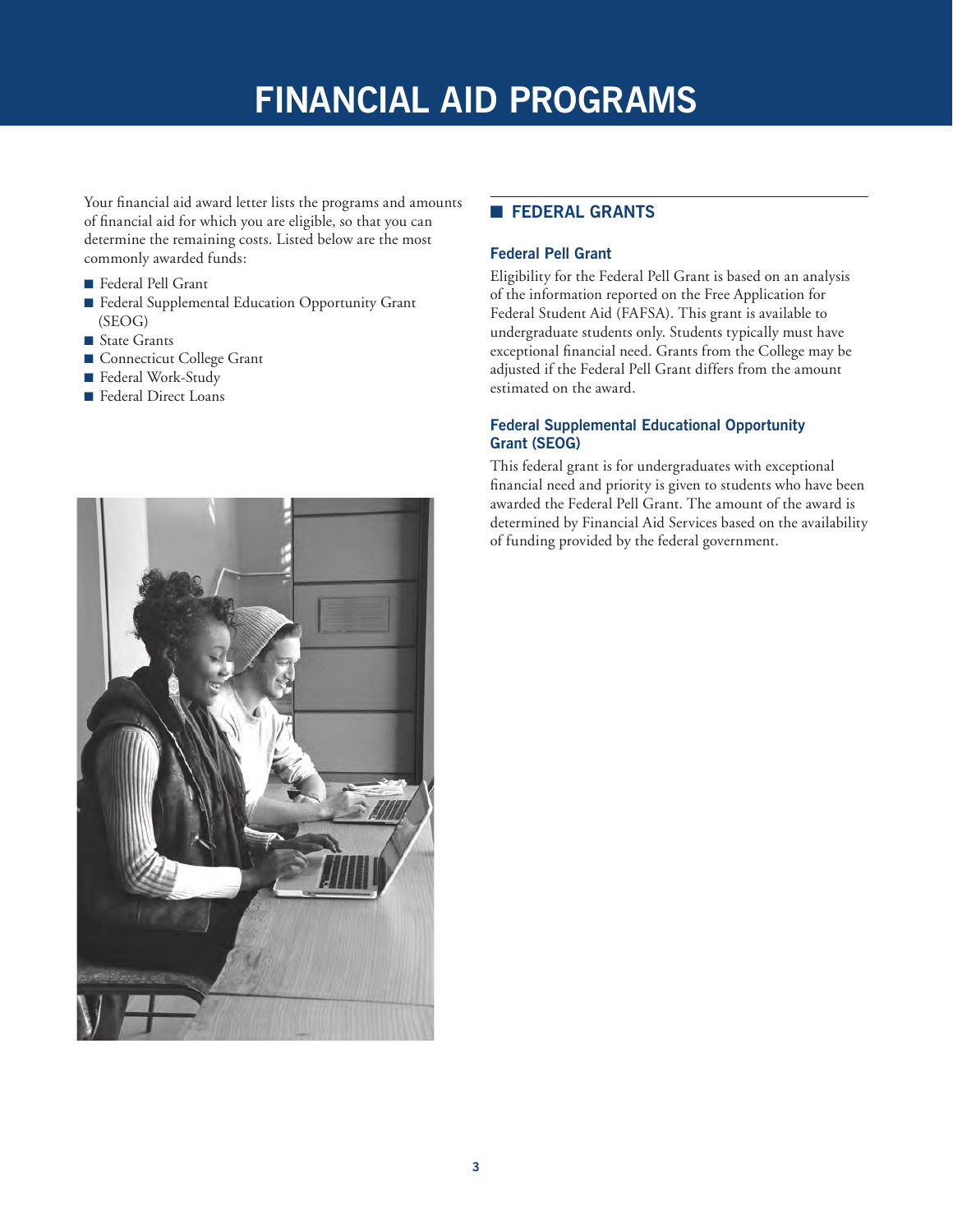# **FINANCIAL AID PROGRAMS**

Your financial aid award letter lists the programs and amounts of financial aid for which you are eligible, so that you can determine the remaining costs. Listed below are the most commonly awarded funds:

- Federal Pell Grant
- Federal Supplemental Education Opportunity Grant (SEOG)
- State Grants
- Connecticut College Grant
- Federal Work-Study
- Federal Direct Loans



#### ■ **FEDERAL GRANTS**

#### **Federal Pell Grant**

Eligibility for the Federal Pell Grant is based on an analysis of the information reported on the Free Application for Federal Student Aid (FAFSA). This grant is available to undergraduate students only. Students typically must have exceptional financial need. Grants from the College may be adjusted if the Federal Pell Grant differs from the amount estimated on the award.

#### **Federal Supplemental Educational Opportunity Grant (SEOG)**

This federal grant is for undergraduates with exceptional financial need and priority is given to students who have been awarded the Federal Pell Grant. The amount of the award is determined by Financial Aid Services based on the availability of funding provided by the federal government.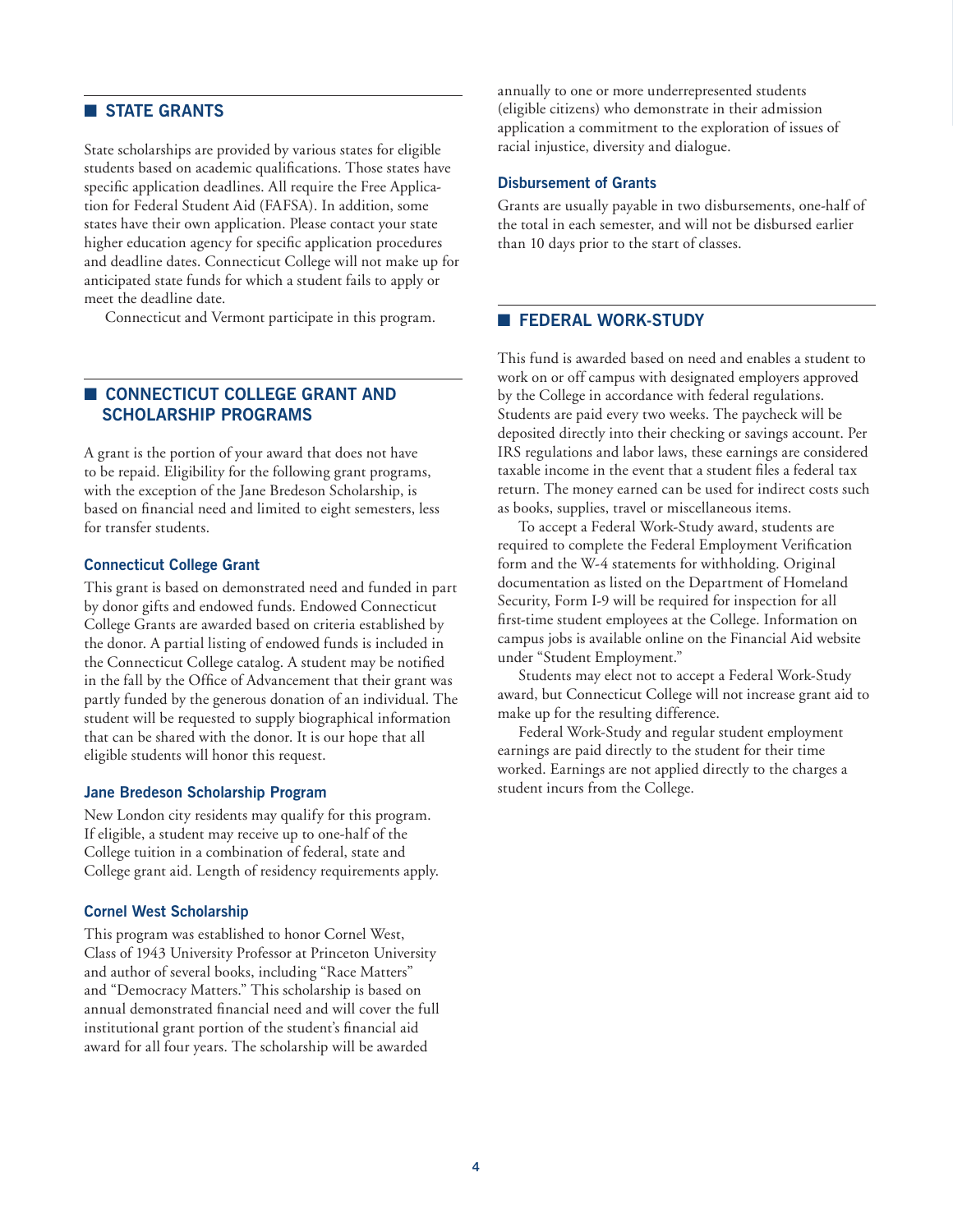#### ■ **STATE GRANTS**

State scholarships are provided by various states for eligible students based on academic qualifications. Those states have specific application deadlines. All require the Free Application for Federal Student Aid (FAFSA). In addition, some states have their own application. Please contact your state higher education agency for specific application procedures and deadline dates. Connecticut College will not make up for anticipated state funds for which a student fails to apply or meet the deadline date.

Connecticut and Vermont participate in this program.

#### ■ **CONNECTICUT COLLEGE GRANT AND SCHOLARSHIP PROGRAMS**

A grant is the portion of your award that does not have to be repaid. Eligibility for the following grant programs, with the exception of the Jane Bredeson Scholarship, is based on financial need and limited to eight semesters, less for transfer students.

#### **Connecticut College Grant**

This grant is based on demonstrated need and funded in part by donor gifts and endowed funds. Endowed Connecticut College Grants are awarded based on criteria established by the donor. A partial listing of endowed funds is included in the Connecticut College catalog. A student may be notified in the fall by the Office of Advancement that their grant was partly funded by the generous donation of an individual. The student will be requested to supply biographical information that can be shared with the donor. It is our hope that all eligible students will honor this request.

#### **Jane Bredeson Scholarship Program**

New London city residents may qualify for this program. If eligible, a student may receive up to one-half of the College tuition in a combination of federal, state and College grant aid. Length of residency requirements apply.

#### **Cornel West Scholarship**

This program was established to honor Cornel West, Class of 1943 University Professor at Princeton University and author of several books, including "Race Matters" and "Democracy Matters." This scholarship is based on annual demonstrated financial need and will cover the full institutional grant portion of the student's financial aid award for all four years. The scholarship will be awarded

annually to one or more underrepresented students (eligible citizens) who demonstrate in their admission application a commitment to the exploration of issues of racial injustice, diversity and dialogue.

#### **Disbursement of Grants**

Grants are usually payable in two disbursements, one-half of the total in each semester, and will not be disbursed earlier than 10 days prior to the start of classes.

#### ■ **FEDERAL WORK-STUDY**

This fund is awarded based on need and enables a student to work on or off campus with designated employers approved by the College in accordance with federal regulations. Students are paid every two weeks. The paycheck will be deposited directly into their checking or savings account. Per IRS regulations and labor laws, these earnings are considered taxable income in the event that a student files a federal tax return. The money earned can be used for indirect costs such as books, supplies, travel or miscellaneous items.

To accept a Federal Work-Study award, students are required to complete the Federal Employment Verification form and the W-4 statements for withholding. Original documentation as listed on the Department of Homeland Security, Form I-9 will be required for inspection for all first-time student employees at the College. Information on campus jobs is available online on the Financial Aid website under "Student Employment."

Students may elect not to accept a Federal Work-Study award, but Connecticut College will not increase grant aid to make up for the resulting difference.

Federal Work-Study and regular student employment earnings are paid directly to the student for their time worked. Earnings are not applied directly to the charges a student incurs from the College.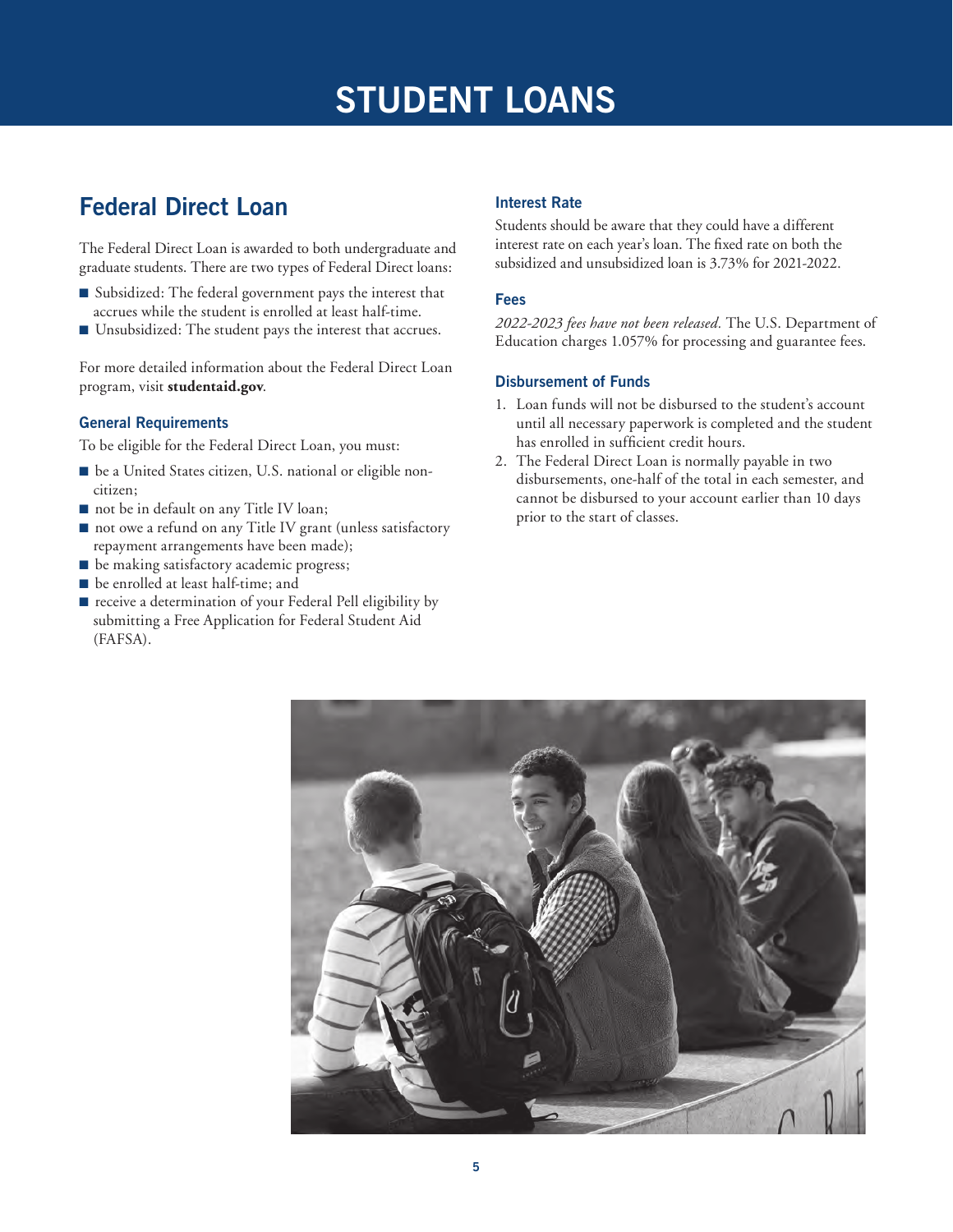# **STUDENT LOANS**

## **Federal Direct Loan**

The Federal Direct Loan is awarded to both undergraduate and graduate students. There are two types of Federal Direct loans:

- Subsidized: The federal government pays the interest that accrues while the student is enrolled at least half-time.
- Unsubsidized: The student pays the interest that accrues.

For more detailed information about the Federal Direct Loan program, visit **studentaid.gov**.

#### **General Requirements**

To be eligible for the Federal Direct Loan, you must:

- be a United States citizen, U.S. national or eligible noncitizen;
- not be in default on any Title IV loan;
- not owe a refund on any Title IV grant (unless satisfactory repayment arrangements have been made);
- be making satisfactory academic progress;
- be enrolled at least half-time; and
- receive a determination of your Federal Pell eligibility by submitting a Free Application for Federal Student Aid (FAFSA).

#### **Interest Rate**

Students should be aware that they could have a different interest rate on each year's loan. The fixed rate on both the subsidized and unsubsidized loan is 3.73% for 2021-2022.

#### **Fees**

*2022-2023 fees have not been released.* The U.S. Department of Education charges 1.057% for processing and guarantee fees.

#### **Disbursement of Funds**

- 1. Loan funds will not be disbursed to the student's account until all necessary paperwork is completed and the student has enrolled in sufficient credit hours.
- 2. The Federal Direct Loan is normally payable in two disbursements, one-half of the total in each semester, and cannot be disbursed to your account earlier than 10 days prior to the start of classes.

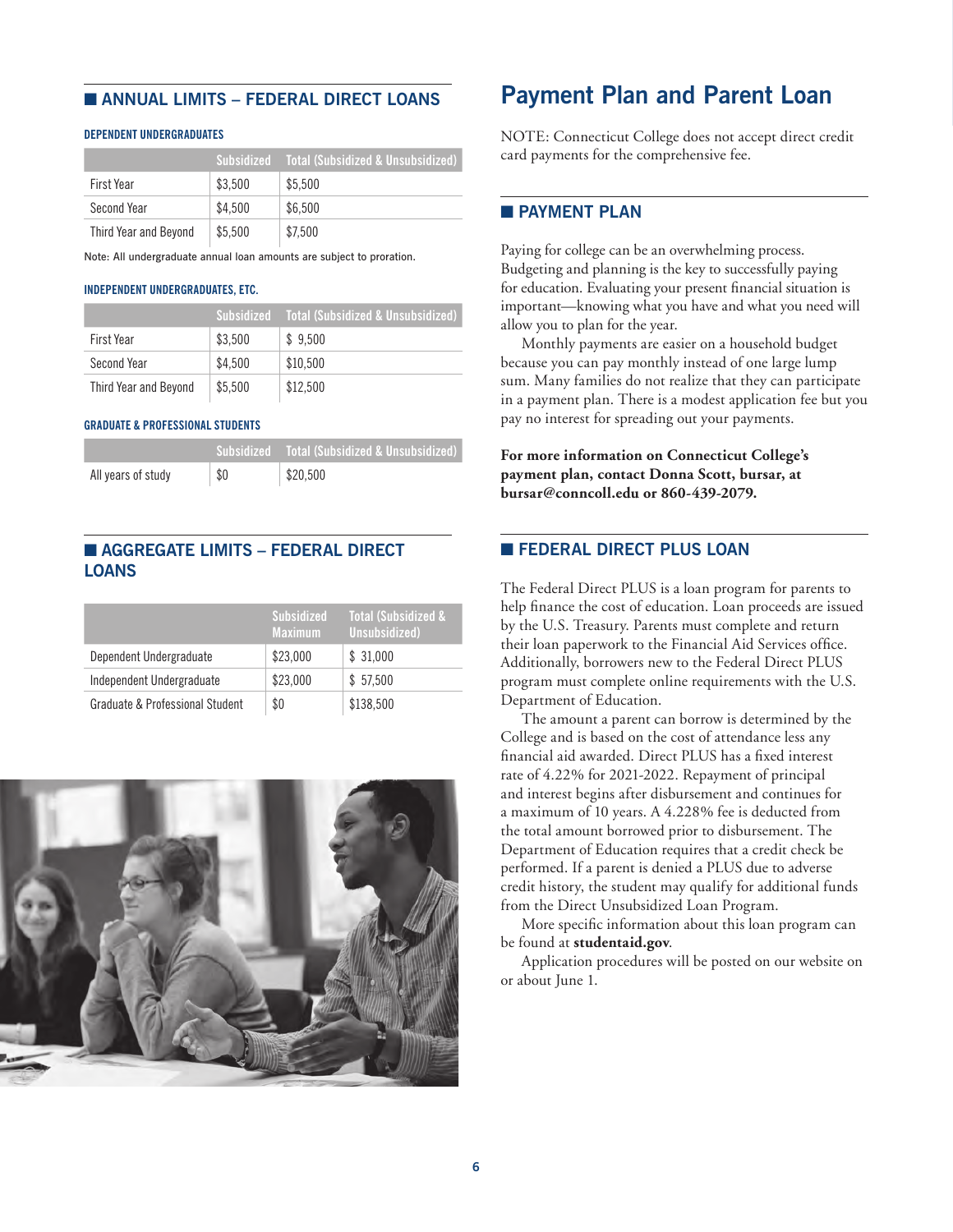#### ■ **ANNUAL LIMITS – FEDERAL DIRECT LOANS**

#### **DEPENDENT UNDERGRADUATES**

|                       |         | Subsidized Total (Subsidized & Unsubsidized) |
|-----------------------|---------|----------------------------------------------|
| First Year            | \$3.500 | \$5.500                                      |
| Second Year           | \$4.500 | \$6.500                                      |
| Third Year and Beyond | \$5,500 | \$7,500                                      |

Note: All undergraduate annual loan amounts are subject to proration.

#### **INDEPENDENT UNDERGRADUATES, ETC.**

|                       |         | Subsidized Total (Subsidized & Unsubsidized) |
|-----------------------|---------|----------------------------------------------|
| First Year            | \$3.500 | \$9.500                                      |
| Second Year           | \$4.500 | \$10.500                                     |
| Third Year and Beyond | \$5,500 | \$12,500                                     |

#### **GRADUATE & PROFESSIONAL STUDENTS**

|                    |     | Subsidized Total (Subsidized & Unsubsidized) |
|--------------------|-----|----------------------------------------------|
| All years of study | \$0 | \$20.500                                     |

#### ■ **AGGREGATE LIMITS – FEDERAL DIRECT LOANS**

|                                 | <b>Subsidized</b><br><b>Maximum</b> | <b>Total (Subsidized &amp;</b><br>Unsubsidized) |
|---------------------------------|-------------------------------------|-------------------------------------------------|
| Dependent Undergraduate         | \$23,000                            | \$31,000                                        |
| Independent Undergraduate       | \$23,000                            | \$57,500                                        |
| Graduate & Professional Student | \$0                                 | \$138,500                                       |



### **Payment Plan and Parent Loan**

NOTE: Connecticut College does not accept direct credit card payments for the comprehensive fee.

#### ■ **PAYMENT PLAN**

Paying for college can be an overwhelming process. Budgeting and planning is the key to successfully paying for education. Evaluating your present financial situation is important—knowing what you have and what you need will allow you to plan for the year.

Monthly payments are easier on a household budget because you can pay monthly instead of one large lump sum. Many families do not realize that they can participate in a payment plan. There is a modest application fee but you pay no interest for spreading out your payments.

**For more information on Connecticut College's payment plan, contact Donna Scott, bursar, at bursar@conncoll.edu or 860-439-2079.**

#### ■ **FEDERAL DIRECT PLUS LOAN**

The Federal Direct PLUS is a loan program for parents to help finance the cost of education. Loan proceeds are issued by the U.S. Treasury. Parents must complete and return their loan paperwork to the Financial Aid Services office. Additionally, borrowers new to the Federal Direct PLUS program must complete online requirements with the U.S. Department of Education.

The amount a parent can borrow is determined by the College and is based on the cost of attendance less any financial aid awarded. Direct PLUS has a fixed interest rate of 4.22% for 2021-2022. Repayment of principal and interest begins after disbursement and continues for a maximum of 10 years. A 4.228% fee is deducted from the total amount borrowed prior to disbursement. The Department of Education requires that a credit check be performed. If a parent is denied a PLUS due to adverse credit history, the student may qualify for additional funds from the Direct Unsubsidized Loan Program.

More specific information about this loan program can be found at **studentaid.gov**.

Application procedures will be posted on our website on or about June 1.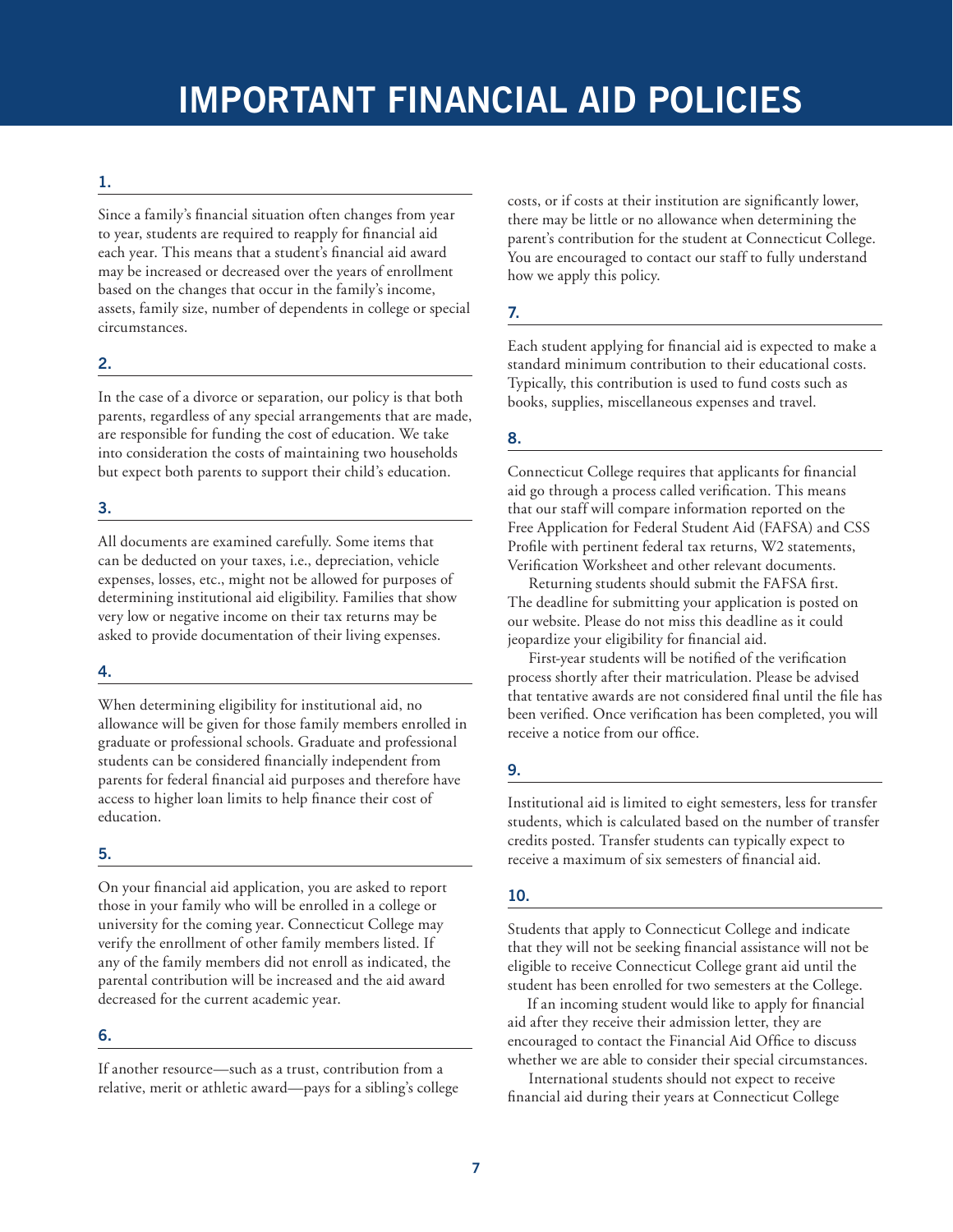# **IMPORTANT FINANCIAL AID POLICIES**

#### **1.**

Since a family's financial situation often changes from year to year, students are required to reapply for financial aid each year. This means that a student's financial aid award may be increased or decreased over the years of enrollment based on the changes that occur in the family's income, assets, family size, number of dependents in college or special circumstances.

#### **2.**

In the case of a divorce or separation, our policy is that both parents, regardless of any special arrangements that are made, are responsible for funding the cost of education. We take into consideration the costs of maintaining two households but expect both parents to support their child's education.

#### **3.**

All documents are examined carefully. Some items that can be deducted on your taxes, i.e., depreciation, vehicle expenses, losses, etc., might not be allowed for purposes of determining institutional aid eligibility. Families that show very low or negative income on their tax returns may be asked to provide documentation of their living expenses.

#### **4.**

When determining eligibility for institutional aid, no allowance will be given for those family members enrolled in graduate or professional schools. Graduate and professional students can be considered financially independent from parents for federal financial aid purposes and therefore have access to higher loan limits to help finance their cost of education.

#### **5.**

On your financial aid application, you are asked to report those in your family who will be enrolled in a college or university for the coming year. Connecticut College may verify the enrollment of other family members listed. If any of the family members did not enroll as indicated, the parental contribution will be increased and the aid award decreased for the current academic year.

#### **6.**

If another resource—such as a trust, contribution from a relative, merit or athletic award—pays for a sibling's college costs, or if costs at their institution are significantly lower, there may be little or no allowance when determining the parent's contribution for the student at Connecticut College. You are encouraged to contact our staff to fully understand how we apply this policy.

#### **7.**

Each student applying for financial aid is expected to make a standard minimum contribution to their educational costs. Typically, this contribution is used to fund costs such as books, supplies, miscellaneous expenses and travel.

#### **8.**

Connecticut College requires that applicants for financial aid go through a process called verification. This means that our staff will compare information reported on the Free Application for Federal Student Aid (FAFSA) and CSS Profile with pertinent federal tax returns, W2 statements, Verification Worksheet and other relevant documents.

Returning students should submit the FAFSA first. The deadline for submitting your application is posted on our website. Please do not miss this deadline as it could jeopardize your eligibility for financial aid.

First-year students will be notified of the verification process shortly after their matriculation. Please be advised that tentative awards are not considered final until the file has been verified. Once verification has been completed, you will receive a notice from our office.

#### **9.**

Institutional aid is limited to eight semesters, less for transfer students, which is calculated based on the number of transfer credits posted. Transfer students can typically expect to receive a maximum of six semesters of financial aid.

#### **10.**

Students that apply to Connecticut College and indicate that they will not be seeking financial assistance will not be eligible to receive Connecticut College grant aid until the student has been enrolled for two semesters at the College.

 If an incoming student would like to apply for financial aid after they receive their admission letter, they are encouraged to contact the Financial Aid Office to discuss whether we are able to consider their special circumstances.

International students should not expect to receive financial aid during their years at Connecticut College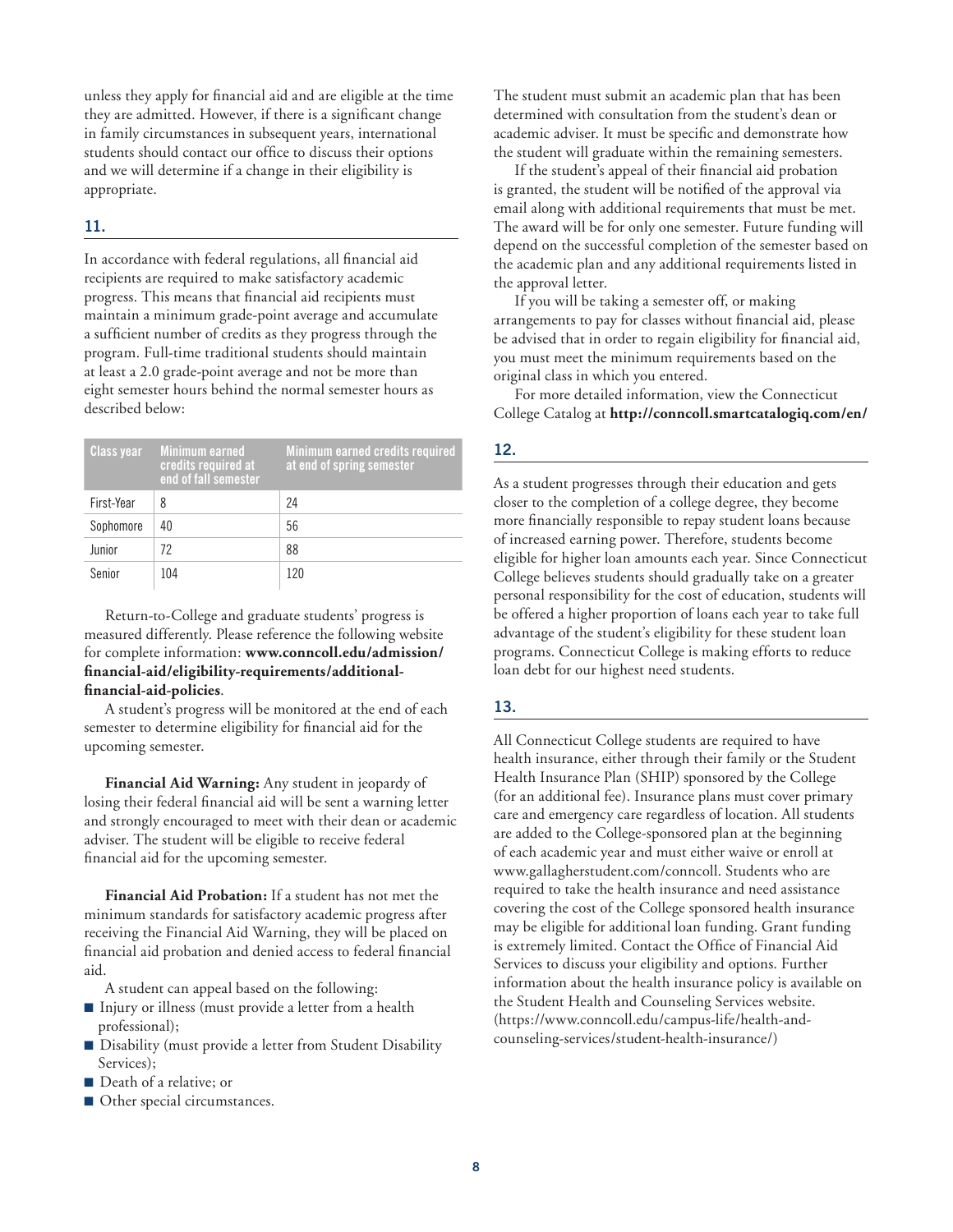unless they apply for financial aid and are eligible at the time they are admitted. However, if there is a significant change in family circumstances in subsequent years, international students should contact our office to discuss their options and we will determine if a change in their eligibility is appropriate.

#### **11.**

In accordance with federal regulations, all financial aid recipients are required to make satisfactory academic progress. This means that financial aid recipients must maintain a minimum grade-point average and accumulate a sufficient number of credits as they progress through the program. Full-time traditional students should maintain at least a 2.0 grade-point average and not be more than eight semester hours behind the normal semester hours as described below:

| Class year | Minimum earned<br>credits required at<br>end of fall semester | Minimum earned credits required<br>at end of spring semester |
|------------|---------------------------------------------------------------|--------------------------------------------------------------|
| First-Year | 8                                                             | 24                                                           |
| Sophomore  | 40                                                            | 56                                                           |
| Junior     | 72                                                            | 88                                                           |
| Senior     | 104                                                           | 120                                                          |

Return-to-College and graduate students' progress is measured differently. Please reference the following website for complete information: **www.conncoll.edu/admission/ financial-aid/eligibility-requirements/additionalfinancial-aid-policies**.

A student's progress will be monitored at the end of each semester to determine eligibility for financial aid for the upcoming semester.

**Financial Aid Warning:** Any student in jeopardy of losing their federal financial aid will be sent a warning letter and strongly encouraged to meet with their dean or academic adviser. The student will be eligible to receive federal financial aid for the upcoming semester.

**Financial Aid Probation:** If a student has not met the minimum standards for satisfactory academic progress after receiving the Financial Aid Warning, they will be placed on financial aid probation and denied access to federal financial aid.

A student can appeal based on the following:

- Injury or illness (must provide a letter from a health professional);
- Disability (must provide a letter from Student Disability Services);
- Death of a relative; or
- Other special circumstances.

The student must submit an academic plan that has been determined with consultation from the student's dean or academic adviser. It must be specific and demonstrate how the student will graduate within the remaining semesters.

If the student's appeal of their financial aid probation is granted, the student will be notified of the approval via email along with additional requirements that must be met. The award will be for only one semester. Future funding will depend on the successful completion of the semester based on the academic plan and any additional requirements listed in the approval letter.

If you will be taking a semester off, or making arrangements to pay for classes without financial aid, please be advised that in order to regain eligibility for financial aid, you must meet the minimum requirements based on the original class in which you entered.

For more detailed information, view the Connecticut College Catalog at **http://conncoll.smartcatalogiq.com/en/**

#### **12.**

As a student progresses through their education and gets closer to the completion of a college degree, they become more financially responsible to repay student loans because of increased earning power. Therefore, students become eligible for higher loan amounts each year. Since Connecticut College believes students should gradually take on a greater personal responsibility for the cost of education, students will be offered a higher proportion of loans each year to take full advantage of the student's eligibility for these student loan programs. Connecticut College is making efforts to reduce loan debt for our highest need students.

#### **13.**

All Connecticut College students are required to have health insurance, either through their family or the Student Health Insurance Plan (SHIP) sponsored by the College (for an additional fee). Insurance plans must cover primary care and emergency care regardless of location. All students are added to the College-sponsored plan at the beginning of each academic year and must either waive or enroll at www.gallagherstudent.com/conncoll. Students who are required to take the health insurance and need assistance covering the cost of the College sponsored health insurance may be eligible for additional loan funding. Grant funding is extremely limited. Contact the Office of Financial Aid Services to discuss your eligibility and options. Further information about the health insurance policy is available on the Student Health and Counseling Services website. (https://www.conncoll.edu/campus-life/health-andcounseling-services/student-health-insurance/)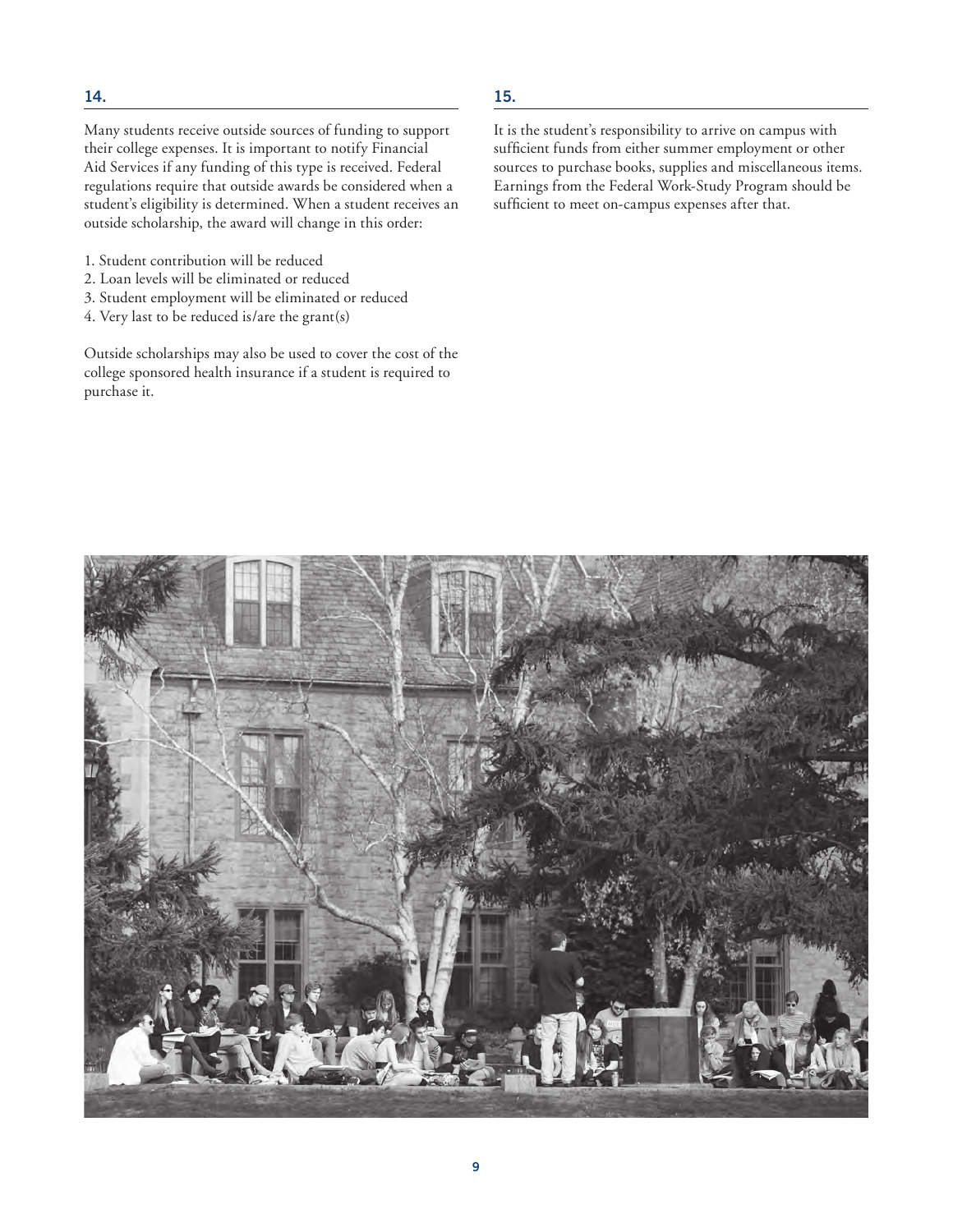Many students receive outside sources of funding to support their college expenses. It is important to notify Financial Aid Services if any funding of this type is received. Federal regulations require that outside awards be considered when a student's eligibility is determined. When a student receives an outside scholarship, the award will change in this order:

- 1. Student contribution will be reduced
- 2. Loan levels will be eliminated or reduced
- 3. Student employment will be eliminated or reduced
- 4. Very last to be reduced is/are the grant(s)

Outside scholarships may also be used to cover the cost of the college sponsored health insurance if a student is required to purchase it.

It is the student's responsibility to arrive on campus with sufficient funds from either summer employment or other sources to purchase books, supplies and miscellaneous items. Earnings from the Federal Work-Study Program should be sufficient to meet on-campus expenses after that.

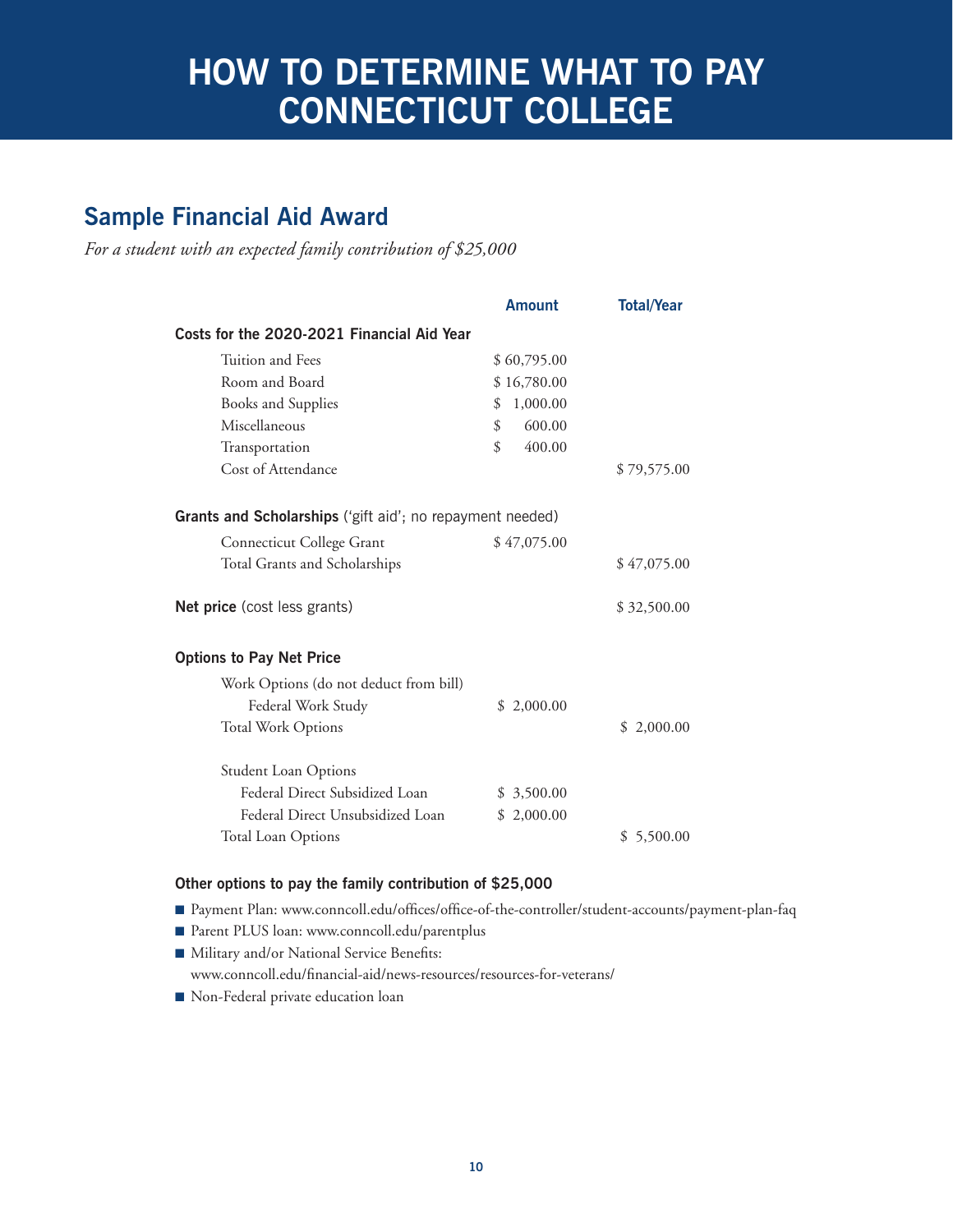# **HOW TO DETERMINE WHAT TO PAY CONNECTICUT COLLEGE**

## **Sample Financial Aid Award**

*For a student with an expected family contribution of \$25,000* 

|                                                           | <b>Amount</b>  | <b>Total/Year</b> |
|-----------------------------------------------------------|----------------|-------------------|
| Costs for the 2020-2021 Financial Aid Year                |                |                   |
| Tuition and Fees                                          | \$60,795.00    |                   |
| Room and Board                                            | \$16,780.00    |                   |
| <b>Books and Supplies</b>                                 | 1,000.00<br>\$ |                   |
| Miscellaneous                                             | \$<br>600.00   |                   |
| Transportation                                            | \$<br>400.00   |                   |
| Cost of Attendance                                        |                | \$79,575.00       |
| Grants and Scholarships ('gift aid'; no repayment needed) |                |                   |
| Connecticut College Grant                                 | \$47,075.00    |                   |
| Total Grants and Scholarships                             |                | \$47,075.00       |
| Net price (cost less grants)                              |                | \$32,500.00       |
| <b>Options to Pay Net Price</b>                           |                |                   |
| Work Options (do not deduct from bill)                    |                |                   |
| Federal Work Study                                        | \$2,000.00     |                   |
| <b>Total Work Options</b>                                 |                | \$2,000.00        |
| <b>Student Loan Options</b>                               |                |                   |
| Federal Direct Subsidized Loan                            | \$3,500.00     |                   |
| Federal Direct Unsubsidized Loan                          | \$2,000.00     |                   |
| <b>Total Loan Options</b>                                 |                | \$5,500.00        |

#### **Other options to pay the family contribution of \$25,000**

- Payment Plan: www.conncoll.edu/offices/office-of-the-controller/student-accounts/payment-plan-faq
- Parent PLUS loan: www.conncoll.edu/parentplus
- Military and/or National Service Benefits:

www.conncoll.edu/financial-aid/news-resources/resources-for-veterans/

■ Non-Federal private education loan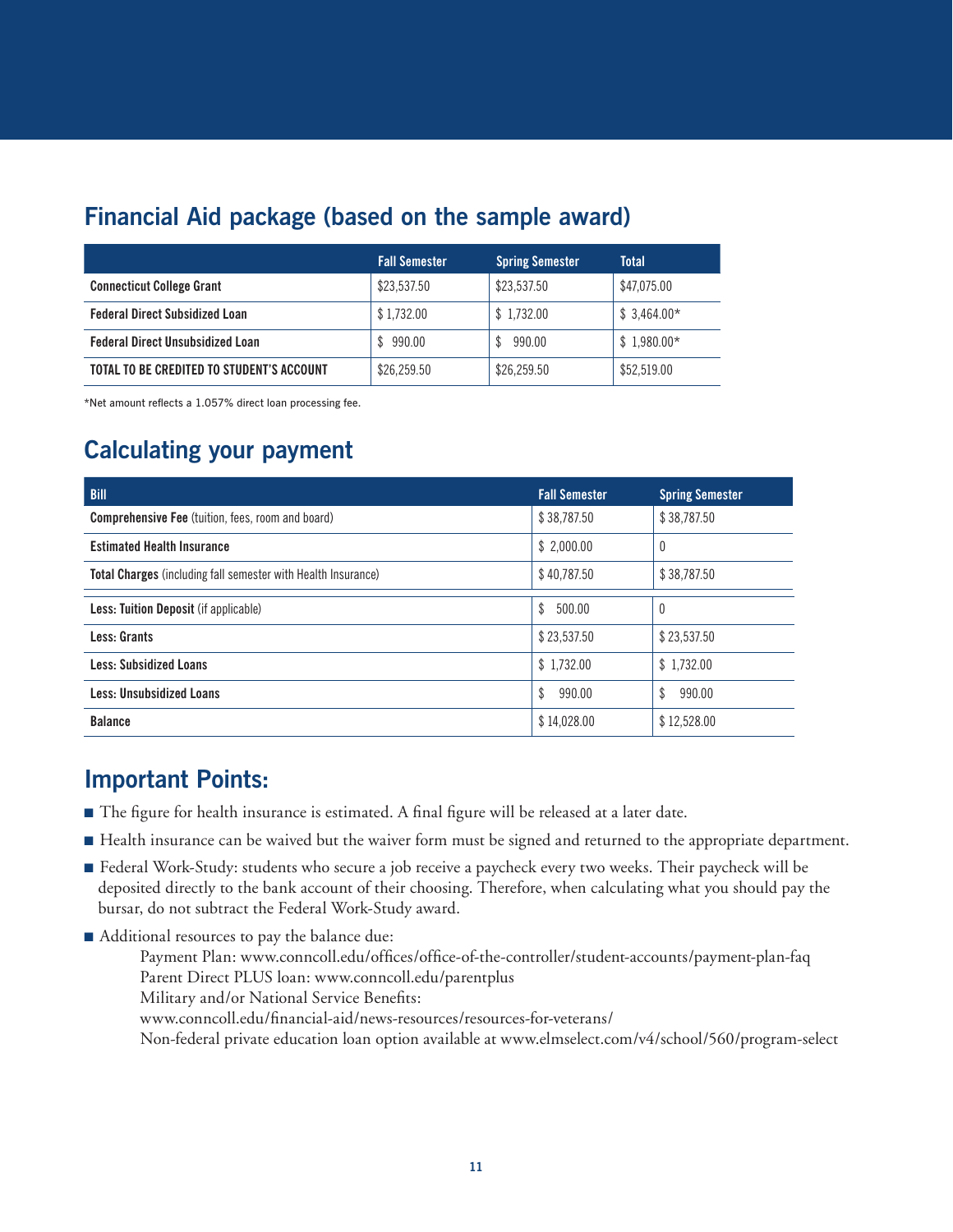# **Financial Aid package (based on the sample award)**

|                                           | <b>Fall Semester</b> | <b>Spring Semester</b> | <b>Total</b> |
|-------------------------------------------|----------------------|------------------------|--------------|
| <b>Connecticut College Grant</b>          | \$23.537.50          | \$23.537.50            | \$47,075.00  |
| <b>Federal Direct Subsidized Loan</b>     | \$1.732.00           | \$1.732.00             | $$3,464.00*$ |
| <b>Federal Direct Unsubsidized Loan</b>   | 990.00               | 990.00                 | $$1,980.00*$ |
| TOTAL TO BE CREDITED TO STUDENT'S ACCOUNT | \$26,259.50          | \$26,259.50            | \$52,519.00  |

\*Net amount reflects a 1.057% direct loan processing fee.

# **Calculating your payment**

| <b>Bill</b>                                                          | <b>Fall Semester</b>       | <b>Spring Semester</b> |
|----------------------------------------------------------------------|----------------------------|------------------------|
| <b>Comprehensive Fee</b> (tuition, fees, room and board)             | \$38,787.50                | \$38,787.50            |
| <b>Estimated Health Insurance</b>                                    | \$2.000.00                 | $\theta$               |
| <b>Total Charges</b> (including fall semester with Health Insurance) | \$40,787.50                | \$38.787.50            |
| <b>Less: Tuition Deposit (if applicable)</b>                         | $\boldsymbol{x}$<br>500.00 | $\theta$               |
| Less: Grants                                                         | \$23.537.50                | \$23.537.50            |
| <b>Less: Subsidized Loans</b>                                        | \$1.732.00                 | \$1.732.00             |
| <b>Less: Unsubsidized Loans</b>                                      | \$<br>990.00               | \$<br>990.00           |
| <b>Balance</b>                                                       | \$14,028.00                | \$12,528.00            |

### **Important Points:**

- The figure for health insurance is estimated. A final figure will be released at a later date.
- Health insurance can be waived but the waiver form must be signed and returned to the appropriate department.
- Federal Work-Study: students who secure a job receive a paycheck every two weeks. Their paycheck will be deposited directly to the bank account of their choosing. Therefore, when calculating what you should pay the bursar, do not subtract the Federal Work-Study award.
- Additional resources to pay the balance due: Payment Plan: www.conncoll.edu/offices/office-of-the-controller/student-accounts/payment-plan-faq Parent Direct PLUS loan: www.conncoll.edu/parentplus Military and/or National Service Benefits: www.conncoll.edu/financial-aid/news-resources/resources-for-veterans/ Non-federal private education loan option available at www.elmselect.com/v4/school/560/program-select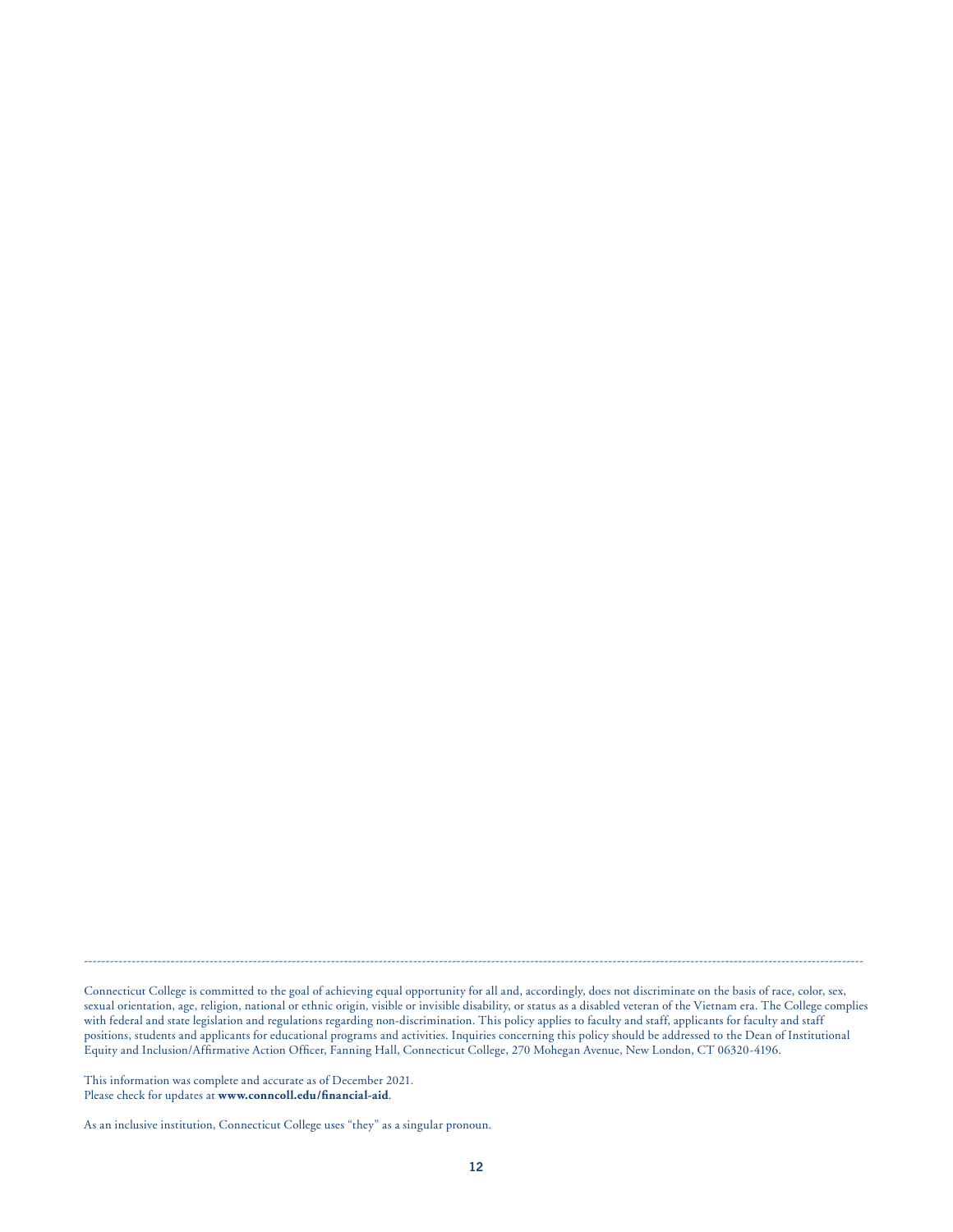------------------------------------------------------------------------------------------------------------------------------------------------------------------------------------

Connecticut College is committed to the goal of achieving equal opportunity for all and, accordingly, does not discriminate on the basis of race, color, sex, sexual orientation, age, religion, national or ethnic origin, visible or invisible disability, or status as a disabled veteran of the Vietnam era. The College complies with federal and state legislation and regulations regarding non-discrimination. This policy applies to faculty and staff, applicants for faculty and staff positions, students and applicants for educational programs and activities. Inquiries concerning this policy should be addressed to the Dean of Institutional Equity and Inclusion/Affirmative Action Officer, Fanning Hall, Connecticut College, 270 Mohegan Avenue, New London, CT 06320-4196.

This information was complete and accurate as of December 2021. Please check for updates at **www.conncoll.edu/financial-aid**.

As an inclusive institution, Connecticut College uses "they" as a singular pronoun.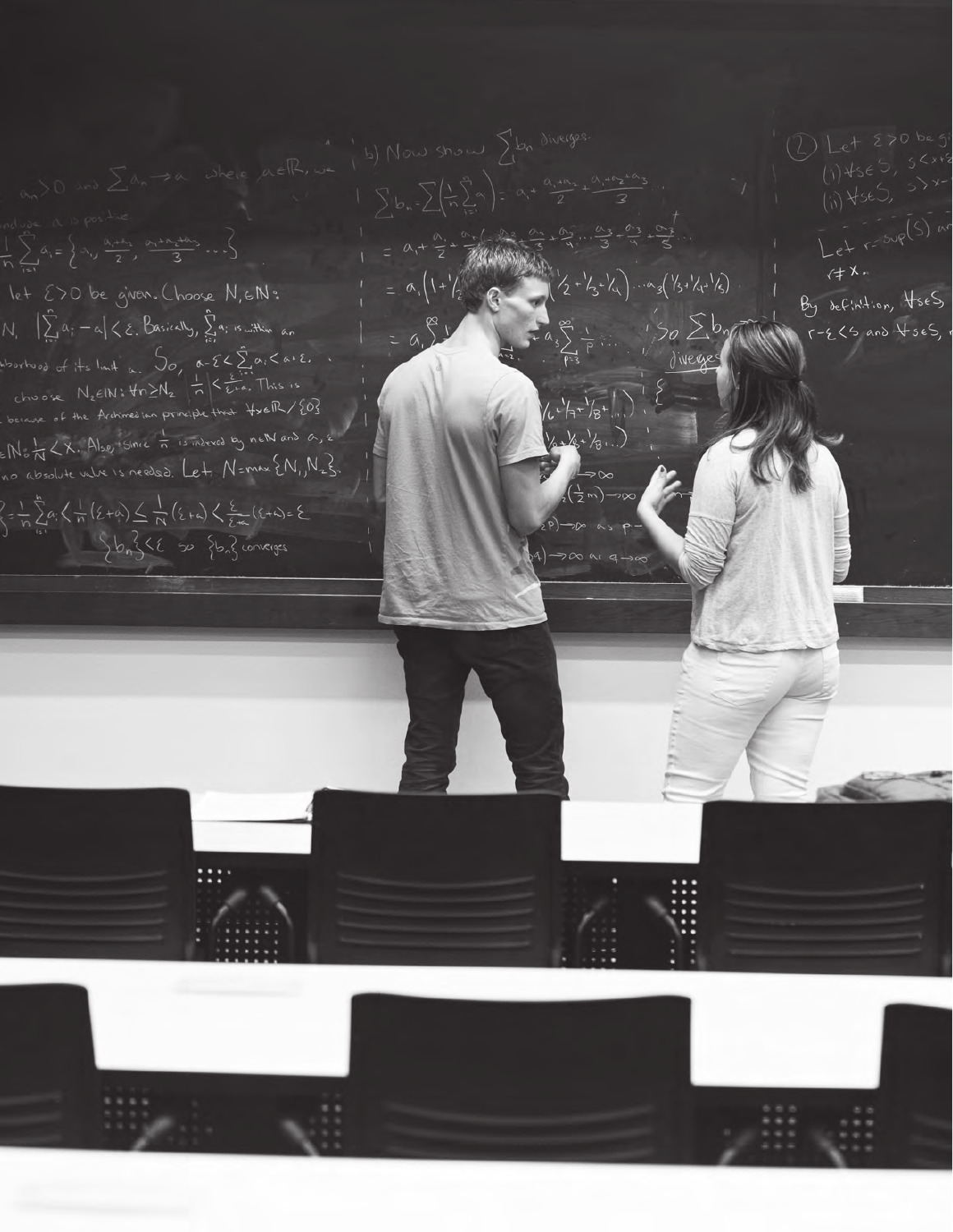let EDO be given. Choose N, EN:  $N_i = \Big|\sum_{i=1}^n \alpha_i - \alpha_i\Big| \leq \varepsilon$ . Basically,  $\sum_{i=1}^n \alpha_i$  is within an

whorhood of its limit a. So,  $a-\tilde{\epsilon} < \sum_{i=1}^{n} a_i < a+\epsilon$ . choose  $N_z \in IN: \forall n \ge N_z \frac{1}{n} \le \frac{1}{\epsilon} \cdot \text{This is}$ <br>because of the Archimesian principle that  $\forall s \in \mathbb{R} \setminus \{0\}$  $\epsilon \mathbb{N}$  o  $\frac{1}{N}$   $\leq$  X. Also, since  $\frac{1}{n}$  is indexed by nell and  $\alpha$ ,  $\epsilon$ no absolute valve is needed. Let N=mm {N, N2}.

 $\frac{1}{\sqrt{2}}\sum_{i=1}^{n}a_{i}\left\langle \frac{1}{n}(\xi+a)\right\rangle \leq\frac{1}{N}(\xi+a)\left\langle \frac{1}{\xi+a}(\xi+a)\right\rangle \leq\frac{1}{\xi}$  $56.356$  so  $55.3$  converges



=  $0.1 + \frac{0.1}{2} + \frac{0.1}{2} + \frac{0.2}{3} + \frac{0.3}{3} + \frac{0.3}{3} + \frac{0.3}{3} + \frac{0.3}{3} + \frac{0.3}{3} + \frac{0.3}{3}$ 

 $=$   $\alpha$ ,  $\left(1+\frac{1}{2}\right)$ 

 $(x^{2}+1/3-1/4)$  ...  $a_{3}(1/3+1/4-1/5)$ 

 $16 - 18 - 18$ 

 $4\frac{1}{2}$ 

 $150$   $\geq 6\sqrt{2}$ 

ivege

2) Let 270 be gi

(十 X.

By definition, HseS

 $r - \xi$ <s and  $\forall s \in S$ ,